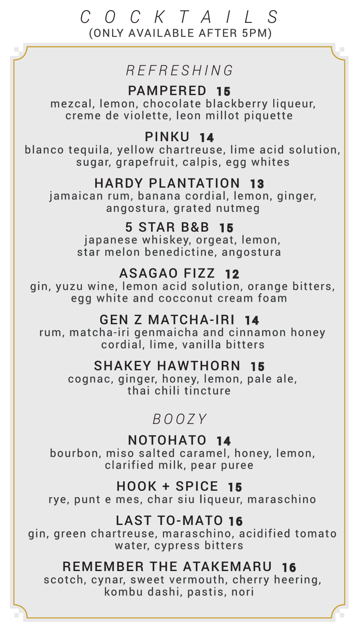## *COCKTAILS* (ONLY AVAILABLE AFTER 5PM)

## *REFRESHING*

PAMPERED15 mezcal, lemon, chocolate blackberry liqueur, creme de violette, leon millot piquette

PINKU14 blanco tequila, yellow chartreuse, lime acid solution, sugar, grapefruit, calpis, egg whites

HARDY PLANTATION13 jamaican rum, banana cordial, lemon, ginger, angostura, grated nutmeg

> 5 STAR B&B15 japanese whiskey, orgeat, lemon, star melon benedictine, angostura

ASAGAO FIZZ 12 gin, yuzu wine, lemon acid solution, orange bitters, egg white and cocconut cream foam

GEN Z MATCHA-IRI14 rum, matcha-iri genmaicha and cinnamon honey cordial, lime, vanilla bitters

SHAKEY HAWTHORN15 cognac, ginger, honey, lemon, pale ale, thai chili tincture

## *BOOZY*

NOTOHATO 14 bourbon, miso salted caramel, honey, lemon, clarified milk, pear puree

HOOK + SPICE15 rye, punt e mes, char siu liqueur, maraschino

LAST TO-MATO <sup>16</sup> gin, green chartreuse, maraschino, acidified tomato water, cypress bitters

REMEMBER THE ATAKEMARU16 scotch, cynar, sweet vermouth, cherry heering, kombu dashi, pastis, nori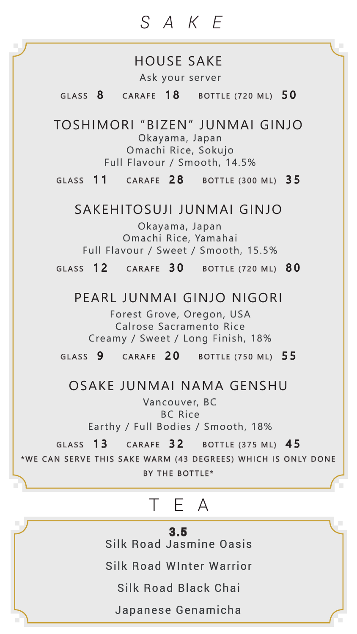# *SAKE*

#### HOUSE SAKE Ask your server

GLASS  $8$  CARAFE  $18$  BOTTLE (720 ML)  $50$ 

TOSHIMORI "BIZEN" JUNMAI GINJOOkayama, Japan Omachi Rice, Sokujo Full Flavour / Smooth, 14.5%

GLASS 11 CARAFE 28 BOTTLE (300 ML) 35

#### SAKEHITOSUJI JUNMAI GINJO

Okayama, Japan Omachi Rice, Yamahai Full Flavour / Sweet / Smooth, 15.5%

GLASS 12 CARAFE 30 BOTTLE (720 ML) 80

#### PEARL JUNMAI GINJO NIGORI

Forest Grove, Oregon, USA Calrose Sacramento Rice Creamy / Sweet / Long Finish, 18%

GLASS 9 CARAFE 20 BOTTLE (750 ML) 55

#### OSAKE JUNMAI NAMA GENSHU

Vancouver, BC BC Rice Earthy / Full Bodies / Smooth, 18%

GLASS 13 CARAFE 32 BOTTLE (375 ML) 45 \*WE CAN SERVE THIS SAKE WARM (43 DEGREES) WHICH IS ONLY DONE BY THE BOTTLE\*

### TEA j

3.5 Silk Road Jasmine Oasis

Silk Road WInter Warrior

Silk Road Black Chai

Japanese Genamicha